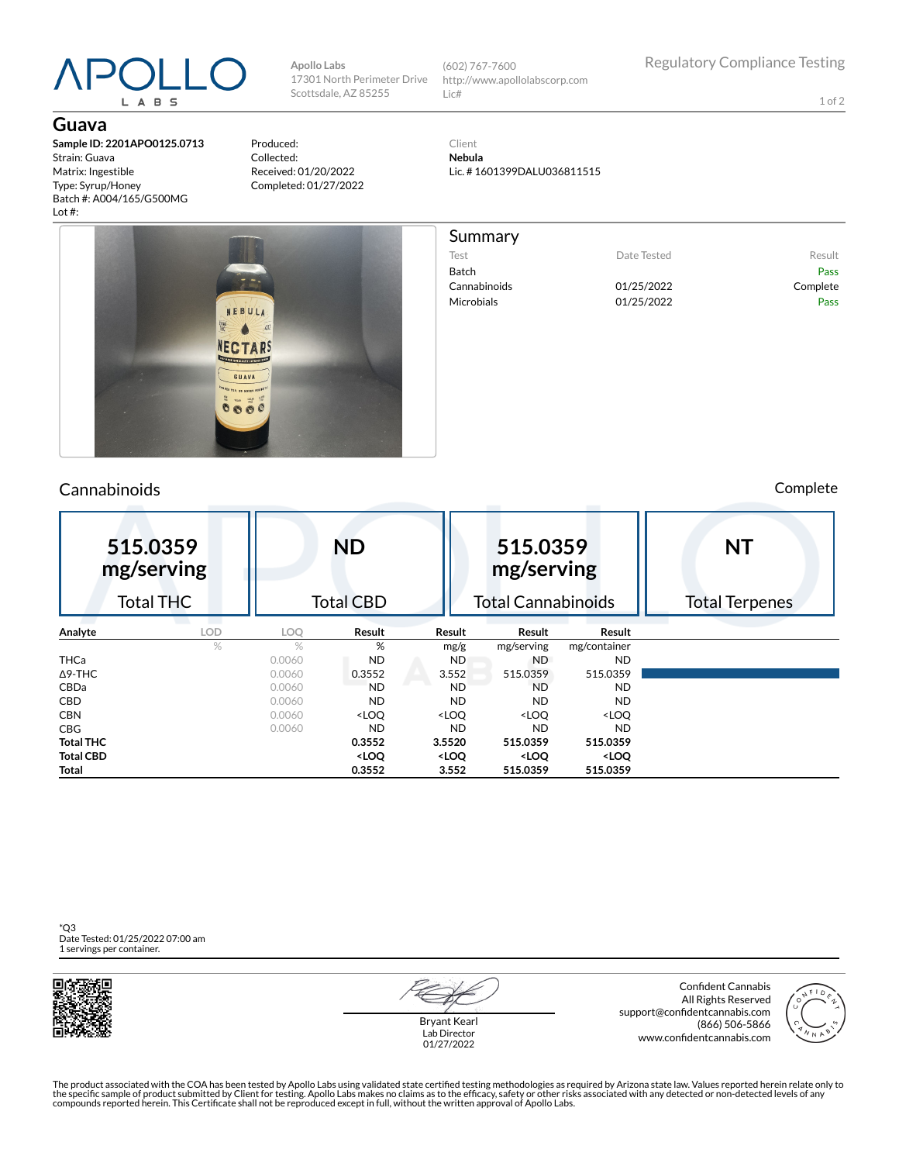# L A B S

**Guava**

**Sample ID: 2201APO0125.0713** Strain: Guava Matrix: Ingestible Type: Syrup/Honey Batch #: A004/165/G500MG Lot #:

Produced: Collected: Received: 01/20/2022 Completed: 01/27/2022

**Apollo Labs**

Scottsdale, AZ 85255

17301 North Perimeter Drive (602) 767-7600 http://www.apollolabscorp.com Lic#

Summary

Test **Date Tested** Result Batch Pass Cannabinoids 01/25/2022 Complete Microbials **01/25/2022** Pass

1 of 2

Client **Nebula** Lic. # 1601399DALU036811515



### Cannabinoids Complete

| 515.0359<br>mg/serving |   | <b>ND</b>        |                                                                                                                  |                                                                                      | 515.0359<br>mg/serving                                   |                              | <b>NT</b>             |  |  |
|------------------------|---|------------------|------------------------------------------------------------------------------------------------------------------|--------------------------------------------------------------------------------------|----------------------------------------------------------|------------------------------|-----------------------|--|--|
| <b>Total THC</b>       |   | <b>Total CBD</b> |                                                                                                                  |                                                                                      | <b>Total Cannabinoids</b>                                |                              | <b>Total Terpenes</b> |  |  |
| Analyte<br>LOD         |   | LOQ              | Result                                                                                                           | Result                                                                               | Result                                                   | Result                       |                       |  |  |
|                        | % | $\%$             | %                                                                                                                | mg/g                                                                                 | mg/serving                                               | mg/container                 |                       |  |  |
| <b>THCa</b>            |   | 0.0060           | <b>ND</b>                                                                                                        | ND.                                                                                  | ND.                                                      | <b>ND</b>                    |                       |  |  |
| $\Delta$ 9-THC         |   | 0.0060           | 0.3552                                                                                                           | 3.552                                                                                | 515.0359                                                 | 515.0359                     |                       |  |  |
| <b>CBDa</b>            |   | 0.0060           | <b>ND</b>                                                                                                        | <b>ND</b>                                                                            | <b>ND</b>                                                | <b>ND</b>                    |                       |  |  |
| <b>CBD</b>             |   | 0.0060           | <b>ND</b>                                                                                                        | <b>ND</b>                                                                            | <b>ND</b>                                                | <b>ND</b>                    |                       |  |  |
| <b>CBN</b>             |   | 0.0060           | <loq< th=""><th><loq< th=""><th><loq< th=""><th><loq< th=""><th></th></loq<></th></loq<></th></loq<></th></loq<> | <loq< th=""><th><loq< th=""><th><loq< th=""><th></th></loq<></th></loq<></th></loq<> | <loq< th=""><th><loq< th=""><th></th></loq<></th></loq<> | <loq< th=""><th></th></loq<> |                       |  |  |
| <b>CBG</b>             |   | 0.0060           | <b>ND</b>                                                                                                        | <b>ND</b>                                                                            | <b>ND</b>                                                | ND.                          |                       |  |  |
| <b>Total THC</b>       |   |                  | 0.3552                                                                                                           | 3.5520                                                                               | 515.0359                                                 | 515.0359                     |                       |  |  |
| <b>Total CBD</b>       |   |                  | <loq< th=""><th><loq< th=""><th><loq< th=""><th><loq< th=""><th></th></loq<></th></loq<></th></loq<></th></loq<> | <loq< th=""><th><loq< th=""><th><loq< th=""><th></th></loq<></th></loq<></th></loq<> | <loq< th=""><th><loq< th=""><th></th></loq<></th></loq<> | <loq< th=""><th></th></loq<> |                       |  |  |
| Total                  |   |                  | 0.3552                                                                                                           | 3.552                                                                                | 515.0359                                                 | 515.0359                     |                       |  |  |

\*Q3 Date Tested: 01/25/2022 07:00 am 1 servings per container.



Bryant Kearl Lab Director 01/27/2022

Confident Cannabis All Rights Reserved support@confidentcannabis.com (866) 506-5866 www.confidentcannabis.com



The product associated with the COA has been tested by Apollo Labs using validated state certified testing methodologies as required by Arizona state law. Values reported herein relate only to<br>the specific sample of produc